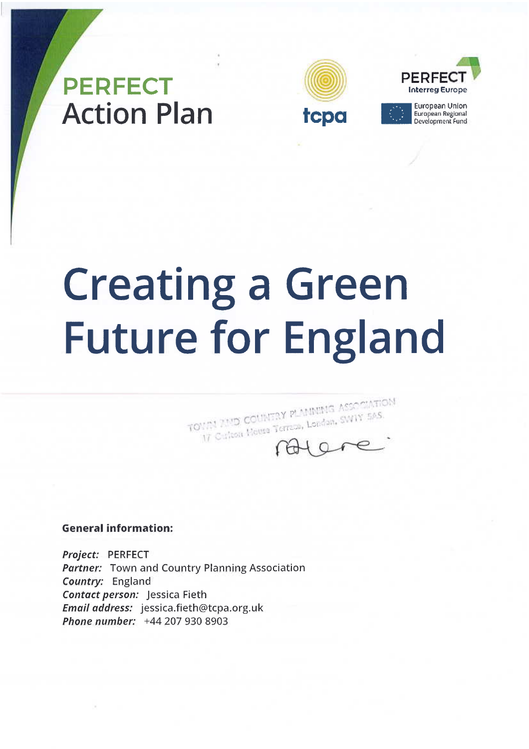## **PERFECT Action Plan**





European Union<br>European Regional<br>Development Fund

# **Creating a Green Future for England**

TOURS 2500 COUNTRY PLAINING ASSOCIATION 17 Culton Hotels Terreus, Londan, SWIY 505

#### **General information:**

Project: PERFECT **Partner:** Town and Country Planning Association Country: England Contact person: Jessica Fieth Email address: jessica.fieth@tcpa.org.uk Phone number: +44 207 930 8903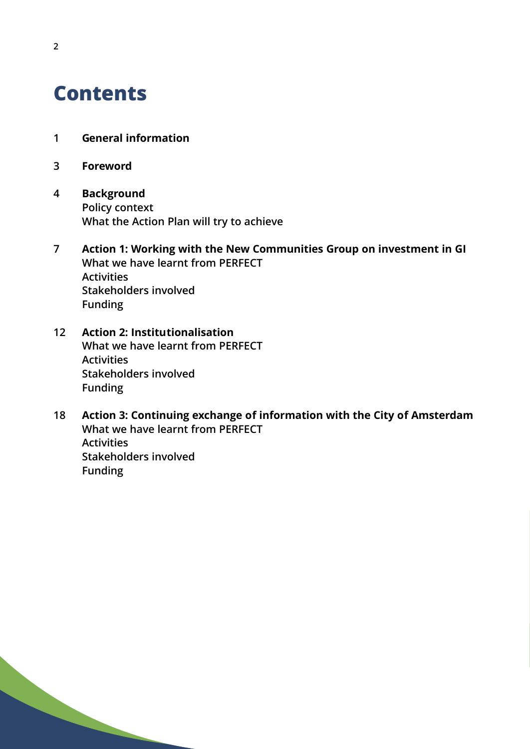## **Contents**

- **1 General information**
- **3 Foreword**
- **4 Background Policy context What the Action Plan will try to achieve**
- **7 Action 1: Working with the New Communities Group on investment in GI What we have learnt from PERFECT Activities Stakeholders involved Funding**
- **12 Action 2: Institutionalisation What we have learnt from PERFECT Activities Stakeholders involved Funding**
- **18 Action 3: Continuing exchange of information with the City of Amsterdam What we have learnt from PERFECT Activities Stakeholders involved Funding**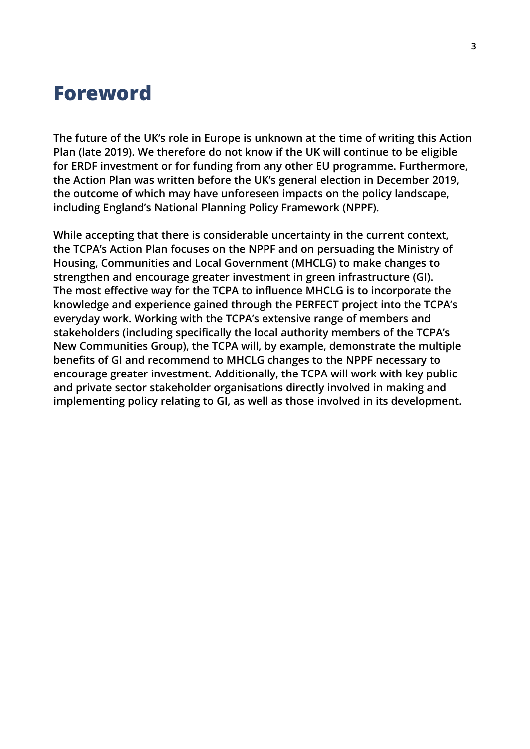### **Foreword**

**The future of the UK's role in Europe is unknown at the time of writing this Action Plan (late 2019). We therefore do not know if the UK will continue to be eligible for ERDF investment or for funding from any other EU programme. Furthermore, the Action Plan was written before the UK's general election in December 2019, the outcome of which may have unforeseen impacts on the policy landscape, including England's National Planning Policy Framework (NPPF).**

**While accepting that there is considerable uncertainty in the current context, the TCPA's Action Plan focuses on the NPPF and on persuading the Ministry of Housing, Communities and Local Government (MHCLG) to make changes to strengthen and encourage greater investment in green infrastructure (GI). The most effective way for the TCPA to influence MHCLG is to incorporate the knowledge and experience gained through the PERFECT project into the TCPA's everyday work. Working with the TCPA's extensive range of members and stakeholders (including specifically the local authority members of the TCPA's New Communities Group), the TCPA will, by example, demonstrate the multiple benefits of GI and recommend to MHCLG changes to the NPPF necessary to encourage greater investment. Additionally, the TCPA will work with key public and private sector stakeholder organisations directly involved in making and implementing policy relating to GI, as well as those involved in its development.**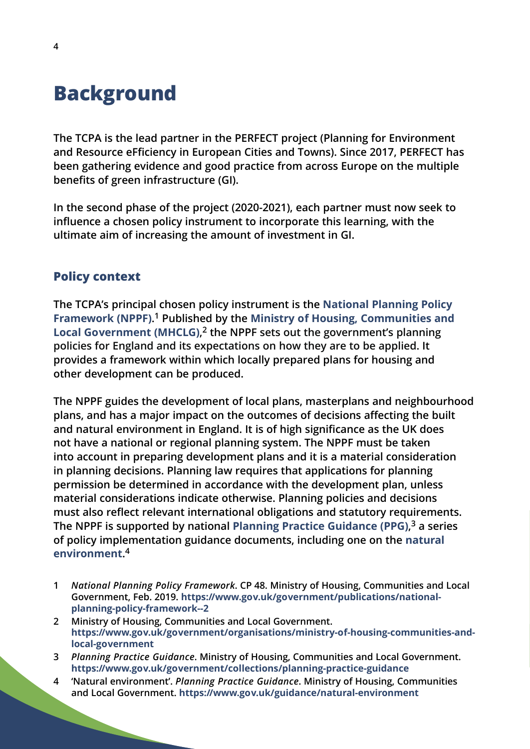## **Background**

**The TCPA is the lead partner in the PERFECT project (Planning for Environment and Resource eFficiency in European Cities and Towns). Since 2017, PERFECT has been gathering evidence and good practice from across Europe on the multiple benefits of green infrastructure (GI).**

**In the second phase of the project (2020-2021), each partner must now seek to influence a chosen policy instrument to incorporate this learning, with the ultimate aim of increasing the amount of investment in GI.**

#### **Policy context**

**The TCPA's principal chosen policy instrument is the [National Planning Policy](https://www.gov.uk/government/publications/national-planning-policy-framework--2) [Framework \(NPPF\)](https://www.gov.uk/government/publications/national-planning-policy-framework--2). <sup>1</sup> Published by the [Ministry of Housing, Communities and](https://www.gov.uk/government/organisations/ministry-of-housing-communities-and-local-government) [Local Government \(MHCLG\)](https://www.gov.uk/government/organisations/ministry-of-housing-communities-and-local-government), <sup>2</sup> the NPPF sets out the government's planning policies for England and its expectations on how they are to be applied. It provides a framework within which locally prepared plans for housing and other development can be produced.**

**The NPPF guides the development of local plans, masterplans and neighbourhood plans, and has a major impact on the outcomes of decisions affecting the built and natural environment in England. It is of high significance as the UK does not have a national or regional planning system. The NPPF must be taken into account in preparing development plans and it is a material consideration in planning decisions. Planning law requires that applications for planning permission be determined in accordance with the development plan, unless material considerations indicate otherwise. Planning policies and decisions must also reflect relevant international obligations and statutory requirements. The NPPF is supported by national [Planning Practice Guidance \(PPG\)](https://www.gov.uk/government/collections/planning-practice-guidance), <sup>3</sup> a series of policy implementation guidance documents, including one on the [natural](https://www.gov.uk/guidance/natural-environment) [environment](https://www.gov.uk/guidance/natural-environment). 4**

- **1** *National Planning Policy Framework***. CP 48. Ministry of Housing, Communities and Local Government, Feb. 2019. https://www.gov.uk/government/publications/nationalplanning-policy-framework--2**
- **2 Ministry of Housing, Communities and Local Government. https://www.gov.uk/government/organisations/ministry-of-housing-communities-andlocal-government**
- **3** *Planning Practice Guidance***. Ministry of Housing, Communities and Local Government. https://www.gov.uk/government/collections/planning-practice-guidance**
- **4 'Natural environment'.** *Planning Practice Guidance***. Ministry of Housing, Communities and Local Government. https://www.gov.uk/guidance/natural-environment**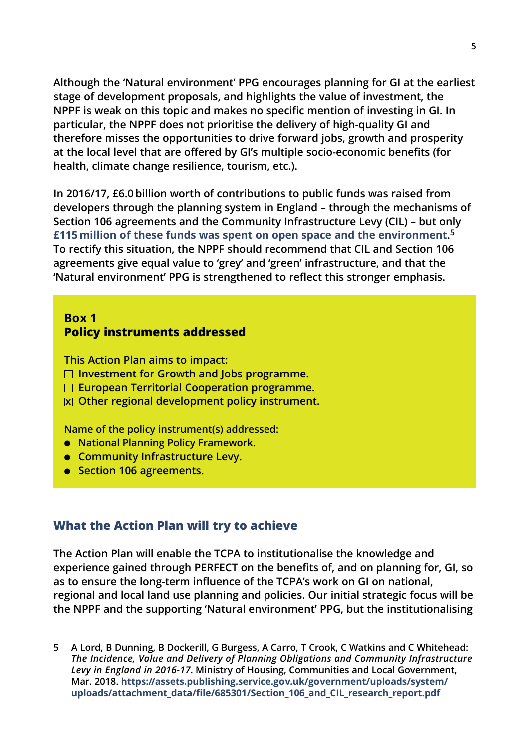**Although the 'Natural environment' PPG encourages planning for GI at the earliest stage of development proposals, and highlights the value of investment, the NPPF is weak on this topic and makes no specific mention of investing in GI. In particular, the NPPF does not prioritise the delivery of high-quality GI and therefore misses the opportunities to drive forward jobs, growth and prosperity at the local level that are offered by GI's multiple socio-economic benefits (for health, climate change resilience, tourism, etc.).**

**In 2016/17, £6.0 billion worth of contributions to public funds was raised from developers through the planning system in England – through the mechanisms of Section 106 agreements and the Community Infrastructure Levy (CIL) – but only [£115 million of these funds was spent on open space and the environment](https://assets.publishing.service.gov.uk/government/uploads/system/uploads/attachment_data/file/685301/Section_106_and_CIL_research_report.pdf). 5 To rectify this situation, the NPPF should recommend that CIL and Section 106 agreements give equal value to 'grey' and 'green' infrastructure, and that the 'Natural environment' PPG is strengthened to reflect this stronger emphasis.**

#### **Box 1 Policy instruments addressed**

**This Action Plan aims to impact:**

- **Investment for Growth and Jobs programme.**
- **European Territorial Cooperation programme.**
- **x Other regional development policy instrument.**

**Name of the policy instrument(s) addressed:**

- **National Planning Policy Framework.**
- **Community Infrastructure Levy.**
- **Section 106 agreements.**

#### **What the Action Plan will try to achieve**

**The Action Plan will enable the TCPA to institutionalise the knowledge and experience gained through PERFECT on the benefits of, and on planning for, GI, so as to ensure the long-term influence of the TCPA's work on GI on national, regional and local land use planning and policies. Our initial strategic focus will be the NPPF and the supporting 'Natural environment' PPG, but the institutionalising**

**5 A Lord, B Dunning, B Dockerill, G Burgess, A Carro, T Crook, C Watkins and C Whitehead:** *The Incidence, Value and Delivery of Planning Obligations and Community Infrastructure Levy in England in 2016-17***. Ministry of Housing, Communities and Local Government, Mar. 2018. https://assets.publishing.service.gov.uk/government/uploads/system/ [uploads/attachment\\_data/file/685301/Section\\_106\\_and\\_CIL\\_research\\_report.pdf](https://assets.publishing.service.gov.uk/government/uploads/system/uploads/attachment_data/file/685301/Section_106_and_CIL_research_report.pdf)**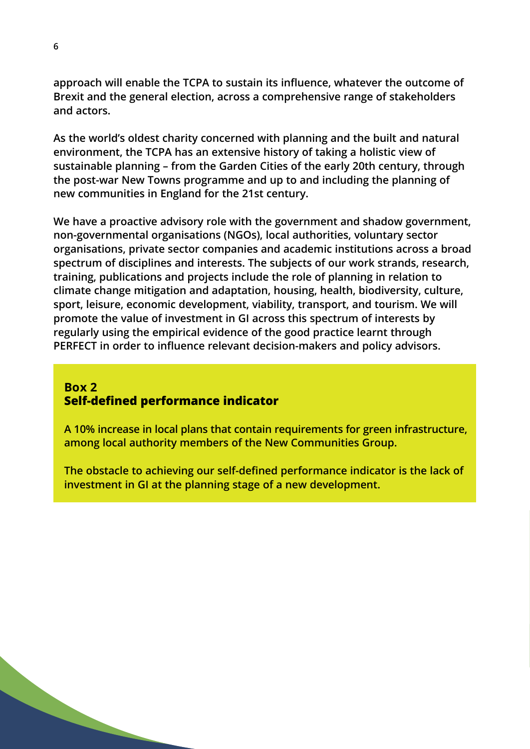**approach will enable the TCPA to sustain its influence, whatever the outcome of Brexit and the general election, across a comprehensive range of stakeholders and actors.**

**As the world's oldest charity concerned with planning and the built and natural environment, the TCPA has an extensive history of taking a holistic view of sustainable planning – from the Garden Cities of the early 20th century, through the post-war New Towns programme and up to and including the planning of new communities in England for the 21st century.**

**We have a proactive advisory role with the government and shadow government, non-governmental organisations (NGOs), local authorities, voluntary sector organisations, private sector companies and academic institutions across a broad spectrum of disciplines and interests. The subjects of our work strands, research, training, publications and projects include the role of planning in relation to climate change mitigation and adaptation, housing, health, biodiversity, culture, sport, leisure, economic development, viability, transport, and tourism. We will promote the value of investment in GI across this spectrum of interests by regularly using the empirical evidence of the good practice learnt through PERFECT in order to influence relevant decision-makers and policy advisors.**

#### **Box 2 Self-defined performance indicator**

**A 10% increase in local plans that contain requirements for green infrastructure, among local authority members of the New Communities Group.**

**The obstacle to achieving our self-defined performance indicator is the lack of investment in GI at the planning stage of a new development.**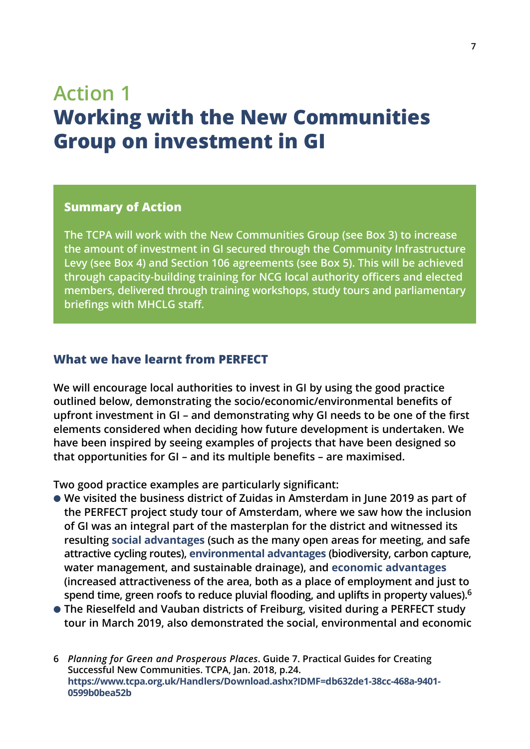## **Action 1 Working with the New Communities Group on investment in GI**

#### **Summary of Action**

**The TCPA will work with the New Communities Group (see Box 3) to increase the amount of investment in GI secured through the Community Infrastructure Levy (see Box 4) and Section 106 agreements (see Box 5). This will be achieved through capacity-building training for NCG local authority officers and elected members, delivered through training workshops, study tours and parliamentary briefings with MHCLG staff.**

#### **What we have learnt from PERFECT**

**We will encourage local authorities to invest in GI by using the good practice outlined below, demonstrating the socio/economic/environmental benefits of upfront investment in GI – and demonstrating why GI needs to be one of the first elements considered when deciding how future development is undertaken. We have been inspired by seeing examples of projects that have been designed so that opportunities for GI – and its multiple benefits – are maximised.**

**Two good practice examples are particularly significant:**

- **We visited the business district of Zuidas in Amsterdam in June 2019 as part of the PERFECT project study tour of Amsterdam, where we saw how the inclusion of GI was an integral part of the masterplan for the district and witnessed its resulting [social advantages](https://www.tcpa.org.uk/Handlers/Download.ashx?IDMF=db632de1-38cc-468a-9401-) (such as the many open areas for meeting, and safe attractive cycling routes), [environmental advantages](https://www.tcpa.org.uk/Handlers/Download.ashx?IDMF=db632de1-38cc-468a-9401-) (biodiversity, carbon capture, water management, and sustainable drainage), and [economic advantages](https://www.tcpa.org.uk/Handlers/Download.ashx?IDMF=db632de1-38cc-468a-9401-) (increased attractiveness of the area, both as a place of employment and just to spend time, green roofs to reduce pluvial flooding, and uplifts in property values).6**
- **The Rieselfeld and Vauban districts of Freiburg, visited during a PERFECT study tour in March 2019, also demonstrated the social, environmental and economic**
- **6** *Planning for Green and Prosperous Places***. Guide 7. Practical Guides for Creating Successful New Communities. TCPA, Jan. 2018, p.24. https://www.tcpa.org.uk/Handlers/Download.ashx?IDMF=db632de1-38cc-468a-9401- 0599b0bea52b**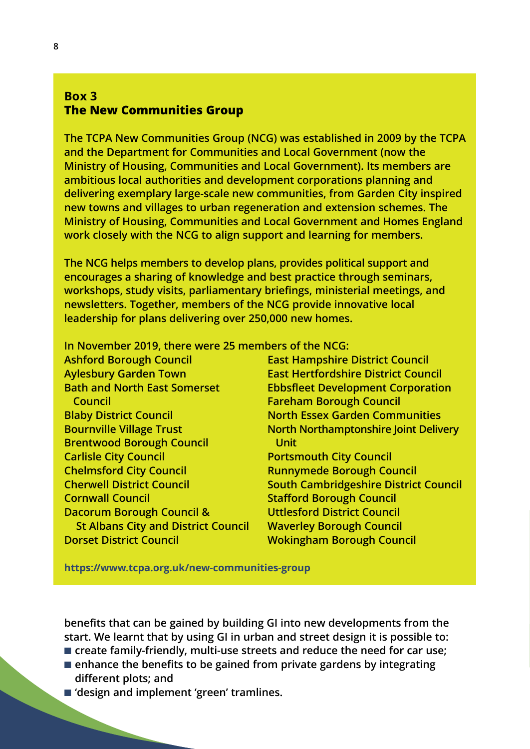#### **Box 3 The New Communities Group**

**The TCPA New Communities Group (NCG) was established in 2009 by the TCPA and the Department for Communities and Local Government (now the Ministry of Housing, Communities and Local Government). Its members are ambitious local authorities and development corporations planning and delivering exemplary large-scale new communities, from Garden City inspired new towns and villages to urban regeneration and extension schemes. The Ministry of Housing, Communities and Local Government and Homes England work closely with the NCG to align support and learning for members.** 

**The NCG helps members to develop plans, provides political support and encourages a sharing of knowledge and best practice through seminars, workshops, study visits, parliamentary briefings, ministerial meetings, and newsletters. Together, members of the NCG provide innovative local leadership for plans delivering over 250,000 new homes.**

**In November 2019, there were 25 members of the NCG:**

**Ashford Borough Council East Hampshire District Council Aylesbury Garden Town East Hertfordshire District Council Bath and North East Somerset Ebbsfleet Development Corporation Council Fareham Borough Council Blaby District Council North Essex Garden Communities Bournville Village Trust North Northamptonshire Joint Delivery Brentwood Borough Council Unit Carlisle City Council Carlisle City Council Chelmsford City Council Council Runnymede Borough Council Cherwell District Council South Cambridgeshire District Council Cornwall Council Connective Council** Stafford Borough Council **Dacorum Borough Council & Uttlesford District Council St Albans City and District Council Waverley Borough Council Dorset District Council Wokingham Borough Council** 

**https://www.tcpa.org.uk/new-communities-group**

**benefits that can be gained by building GI into new developments from the start. We learnt that by using GI in urban and street design it is possible to:** ■ **create family-friendly, multi-use streets and reduce the need for car use;** 

- **enhance the benefits to be gained from private gardens by integrating different plots; and**
- 'design and implement 'green' tramlines.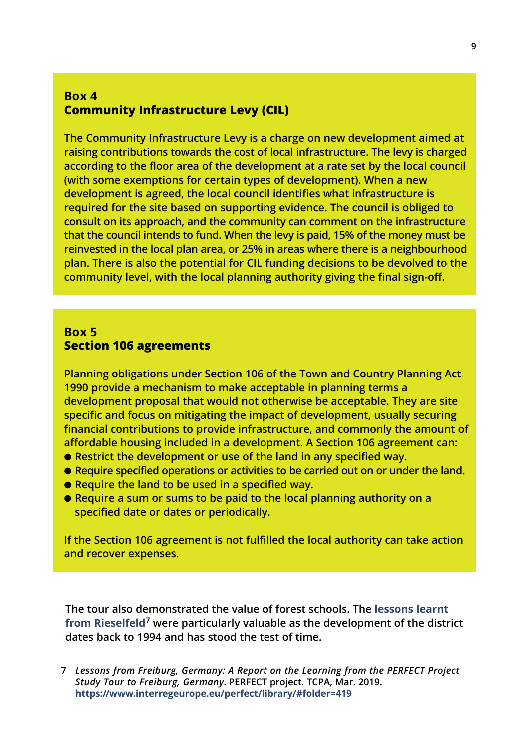#### **Box 4 Community Infrastructure Levy (CIL)**

**The Community Infrastructure Levy is a charge on new development aimed at raising contributions towards the cost of local infrastructure. The levy is charged according to the floor area of the development at a rate set by the local council (with some exemptions for certain types of development). When a new development is agreed, the local council identifies what infrastructure is required for the site based on supporting evidence. The council is obliged to consult on its approach, and the community can comment on the infrastructure that the council intends to fund. When the levy is paid, 15% of the money must be reinvested in the local plan area, or 25% in areas where there is a neighbourhood plan. There is also the potential for CIL funding decisions to be devolved to the community level, with the local planning authority giving the final sign-off.**

#### **Box 5 Section 106 agreements**

**Planning obligations under Section 106 of the Town and Country Planning Act 1990 provide a mechanism to make acceptable in planning terms a development proposal that would not otherwise be acceptable. They are site specific and focus on mitigating the impact of development, usually securing financial contributions to provide infrastructure, and commonly the amount of affordable housing included in a development. A Section 106 agreement can:**

- **Restrict the development or use of the land in any specified way.**
- **Require specified operations or activities to be carried out on or under the land.**
- **Require the land to be used in a specified way.**
- **Require a sum or sums to be paid to the local planning authority on a specified date or dates or periodically.**

**If the Section 106 agreement is not fulfilled the local authority can take action and recover expenses.**

**The tour also demonstrated the value of forest schools. The [lessons learnt](https://www.interregeurope.eu/perfect/library/#folder=419) [from Rieselfeld](https://www.interregeurope.eu/perfect/library/#folder=419)<sup>7</sup> were particularly valuable as the development of the district dates back to 1994 and has stood the test of time.**

**7** *Lessons from Freiburg, Germany: A Report on the Learning from the PERFECT Project Study Tour to Freiburg, Germany***. PERFECT project. TCPA, Mar. 2019. https://www.interregeurope.eu/perfect/library/#folder=419**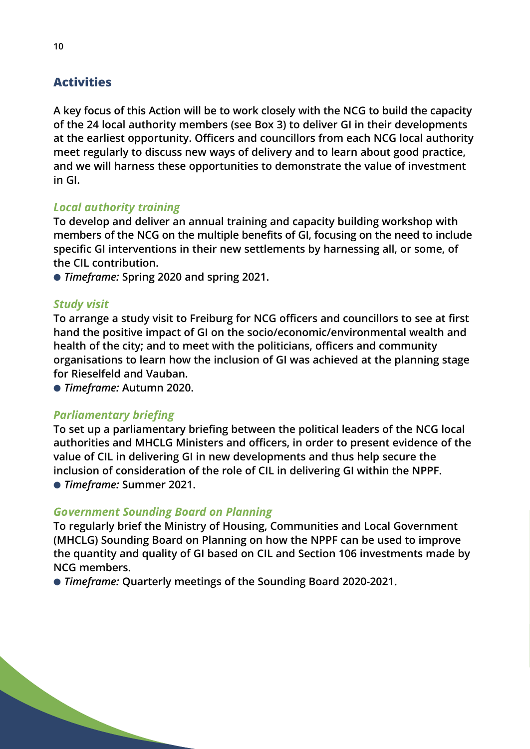#### **Activities**

**A key focus of this Action will be to work closely with the NCG to build the capacity of the 24 local authority members (see Box 3) to deliver GI in their developments at the earliest opportunity. Officers and councillors from each NCG local authority meet regularly to discuss new ways of delivery and to learn about good practice, and we will harness these opportunities to demonstrate the value of investment in GI.**

#### *Local authority training*

**To develop and deliver an annual training and capacity building workshop with members of the NCG on the multiple benefits of GI, focusing on the need to include specific GI interventions in their new settlements by harnessing all, or some, of the CIL contribution.**

● *Timeframe:* **Spring 2020 and spring 2021.**

#### *Study visit*

**To arrange a study visit to Freiburg for NCG officers and councillors to see at first hand the positive impact of GI on the socio/economic/environmental wealth and health of the city; and to meet with the politicians, officers and community organisations to learn how the inclusion of GI was achieved at the planning stage for Rieselfeld and Vauban.**

● *Timeframe:* **Autumn 2020.**

#### *Parliamentary briefing*

**To set up a parliamentary briefing between the political leaders of the NCG local authorities and MHCLG Ministers and officers, in order to present evidence of the value of CIL in delivering GI in new developments and thus help secure the inclusion of consideration of the role of CIL in delivering GI within the NPPF.** ● *Timeframe:* **Summer 2021.**

#### *Government Sounding Board on Planning*

**To regularly brief the Ministry of Housing, Communities and Local Government (MHCLG) Sounding Board on Planning on how the NPPF can be used to improve the quantity and quality of GI based on CIL and Section 106 investments made by NCG members.**

● *Timeframe:* **Quarterly meetings of the Sounding Board 2020-2021.**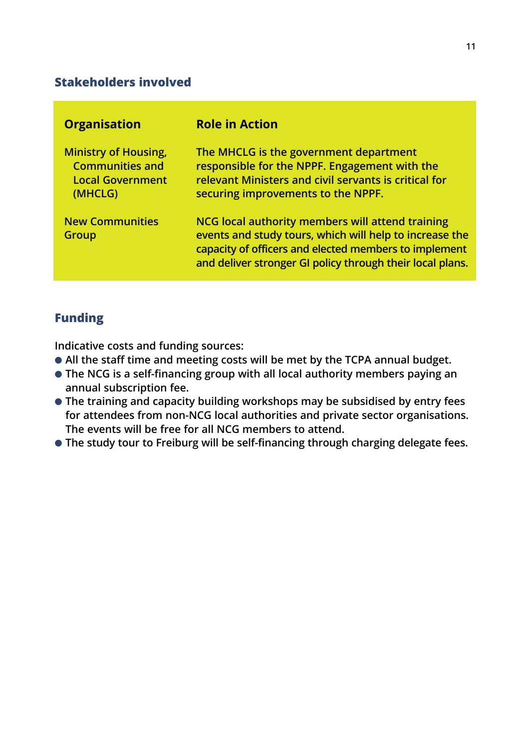#### **Stakeholders involved**

| <b>Organisation</b>                                                                         | <b>Role in Action</b>                                                                                                                                                                                                             |
|---------------------------------------------------------------------------------------------|-----------------------------------------------------------------------------------------------------------------------------------------------------------------------------------------------------------------------------------|
| <b>Ministry of Housing,</b><br><b>Communities and</b><br><b>Local Government</b><br>(MHCLG) | The MHCLG is the government department<br>responsible for the NPPF. Engagement with the<br>relevant Ministers and civil servants is critical for<br>securing improvements to the NPPF.                                            |
| <b>New Communities</b><br>Group                                                             | NCG local authority members will attend training<br>events and study tours, which will help to increase the<br>capacity of officers and elected members to implement<br>and deliver stronger GI policy through their local plans. |

#### **Funding**

**Indicative costs and funding sources:**

- **All the staff time and meeting costs will be met by the TCPA annual budget.**
- **The NCG is a self-financing group with all local authority members paying an annual subscription fee.**
- **The training and capacity building workshops may be subsidised by entry fees for attendees from non-NCG local authorities and private sector organisations. The events will be free for all NCG members to attend.**
- **The study tour to Freiburg will be self-financing through charging delegate fees.**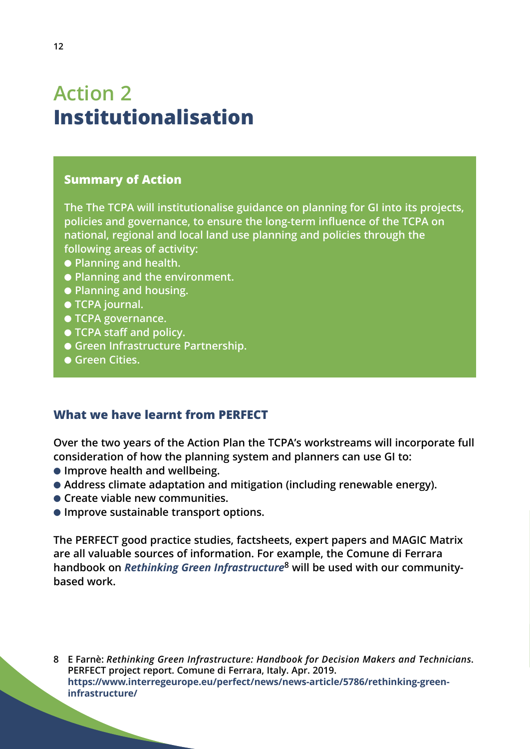## **Action 2 Institutionalisation**

#### **Summary of Action**

**The The TCPA will institutionalise guidance on planning for GI into its projects, policies and governance, to ensure the long-term influence of the TCPA on national, regional and local land use planning and policies through the following areas of activity:**

- **Planning and health.**
- **Planning and the environment.**
- **Planning and housing.**
- **TCPA journal.**
- **TCPA governance.**
- **TCPA staff and policy.**
- **Green Infrastructure Partnership.**
- **Green Cities.**

#### **What we have learnt from PERFECT**

**Over the two years of the Action Plan the TCPA's workstreams will incorporate full consideration of how the planning system and planners can use GI to:**

- **Improve health and wellbeing.**
- Address climate adaptation and mitigation (including renewable energy).
- **Create viable new communities.**
- **Improve sustainable transport options.**

**The PERFECT good practice studies, factsheets, expert papers and MAGIC Matrix are all valuable sources of information. For example, the Comune di Ferrara handbook on** *[Rethinking Green Infrastructure](https://www.interregeurope.eu/perfect/news/news-article/5786/rethinking-greeninfrastructure/)***<sup>8</sup> will be used with our communitybased work.**

**8 E Farnè:** *Rethinking Green Infrastructure: Handbook for Decision Makers and Technicians***. PERFECT project report. Comune di Ferrara, Italy. Apr. 2019. [https://www.interregeurope.eu/perfect/news/news-article/5786/rethinking-green](https://www.interregeurope.eu/perfect/news/news-article/5786/rethinking-greeninfrastructure/)infrastructure/**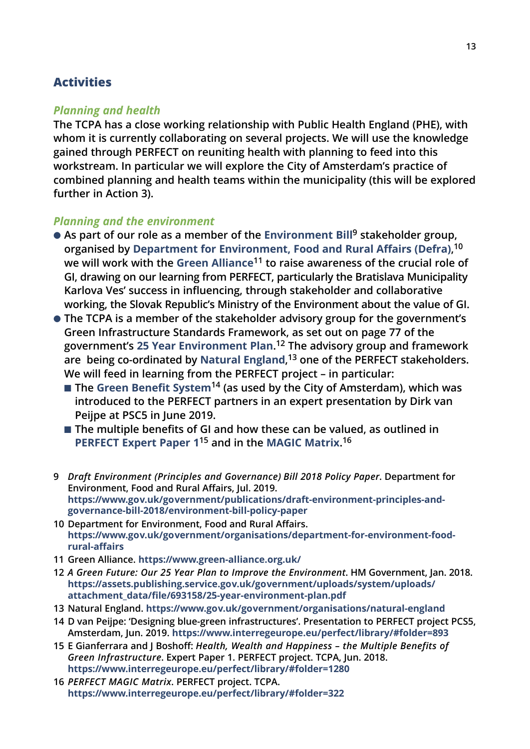#### **Activities**

#### *Planning and health*

**The TCPA has a close working relationship with Public Health England (PHE), with whom it is currently collaborating on several projects. We will use the knowledge gained through PERFECT on reuniting health with planning to feed into this workstream. In particular we will explore the City of Amsterdam's practice of combined planning and health teams within the municipality (this will be explored further in Action 3).**

#### *Planning and the environment*

- **As part of our role as a member of the [Environment Bill](https://www.gov.uk/government/publications/draft-environment-principles-and-governance-bill-2018/environment-bill-policy-paper)<sup>9</sup> stakeholder group, organised by [Department for Environment, Food and Rural Affairs \(Defra\)](https://www.gov.uk/government/organisations/department-for-environment-food-rural-affairs), 10 we will work with the [Green Alliance](https://www.green-alliance.org.uk/)<sup>11</sup> to raise awareness of the crucial role of GI, drawing on our learning from PERFECT, particularly the Bratislava Municipality Karlova Ves' success in influencing, through stakeholder and collaborative working, the Slovak Republic's Ministry of the Environment about the value of GI.**
- **The TCPA is a member of the stakeholder advisory group for the government's Green Infrastructure Standards Framework, as set out on page 77 of the government's [25 Year Environment Plan](https://assets.publishing.service.gov.uk/government/uploads/system/uploads/attachment_data/file/693158/25-year-environment-plan.pdf). <sup>12</sup> The advisory group and framework are being co-ordinated by [Natural England](https://www.gov.uk/government/organisations/natural-england), <sup>13</sup> one of the PERFECT stakeholders. We will feed in learning from the PERFECT project – in particular:**
	- **The [Green Benefit System](https://www.interregeurope.eu/perfect/library/#folder=893)<sup>14</sup> (as used by the City of Amsterdam), which was introduced to the PERFECT partners in an expert presentation by Dirk van Peijpe at PSC5 in June 2019.**
	- **The multiple benefits of GI and how these can be valued, as outlined in [PERFECT Expert Paper 1](https://www.interregeurope.eu/perfect/library/#folder=1280)<sup>15</sup> and in the [MAGIC Matrix](https://www.interregeurope.eu/perfect/library/#folder=322). 16**
- **9** *Draft Environment (Principles and Governance) Bill 2018 Policy Paper***. Department for Environment, Food and Rural Affairs, Jul. 2019. https://www.gov.uk/government/publications/draft-environment-principles-andgovernance-bill-2018/environment-bill-policy-paper**
- **10 Department for Environment, Food and Rural Affairs. https://www.gov.uk/government/organisations/department-for-environment-foodrural-affairs**
- **11 Green Alliance. https://www.green-alliance.org.uk/**
- **12** *A Green Future: Our 25 Year Plan to Improve the Environment***. HM Government, Jan. 2018. [https://assets.publishing.service.gov.uk/government/uploads/system/uploads/](https://assets.publishing.service.gov.uk/government/uploads/system/uploads/attachment_data/file/693158/25-year-environment-plan.pdf) attachment\_data/file/693158/25-year-environment-plan.pdf**
- **13 Natural England. https://www.gov.uk/government/organisations/natural-england**
- **14 D van Peijpe: 'Designing blue-green infrastructures'. Presentation to PERFECT project PCS5, Amsterdam, Jun. 2019. https://www.interregeurope.eu/perfect/library/#folder=893**
- **15 E Gianferrara and J Boshoff:** *Health, Wealth and Happiness the Multiple Benefits of Green Infrastructure***. Expert Paper 1. PERFECT project. TCPA, Jun. 2018. https://www.interregeurope.eu/perfect/library/#folder=1280**
- **16** *PERFECT MAGIC Matrix***. PERFECT project. TCPA. https://www.interregeurope.eu/perfect/library/#folder=322**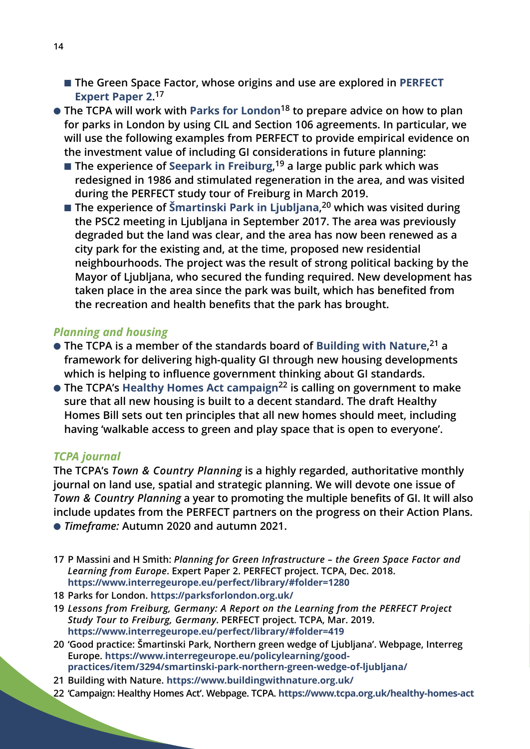- **The Green Space Factor, whose origins and use are explored in [PERFECT](https://www.interregeurope.eu/perfect/library/#folder=1280) [Expert Paper 2](https://www.interregeurope.eu/perfect/library/#folder=1280). 17**
- **The TCPA will work with [Parks for London](https://parksforlondon.org.uk/)<sup>18</sup> to prepare advice on how to plan for parks in London by using CIL and Section 106 agreements. In particular, we will use the following examples from PERFECT to provide empirical evidence on the investment value of including GI considerations in future planning:**
	- **The experience of [Seepark in Freiburg](https://www.interregeurope.eu/perfect/library/#folder=419)**,<sup>19</sup> a large public park which was **redesigned in 1986 and stimulated regeneration in the area, and was visited during the PERFECT study tour of Freiburg in March 2019.**
	- **The experience of [Šmartinski Park in Ljubljana](https://www.interregeurope.eu/policylearning/good-practices/item/3294/smartinski-park-northern-green-wedge-of-ljubljana/), <sup>20</sup> which was visited during the PSC2 meeting in Ljubljana in September 2017. The area was previously degraded but the land was clear, and the area has now been renewed as a city park for the existing and, at the time, proposed new residential neighbourhoods. The project was the result of strong political backing by the Mayor of Ljubljana, who secured the funding required. New development has taken place in the area since the park was built, which has benefited from the recreation and health benefits that the park has brought.**

#### *Planning and housing*

- **The TCPA is a member of the standards board of [Building with Nature](https://www.buildingwithnature.org.uk/), <sup>21</sup> a framework for delivering high-quality GI through new housing developments which is helping to influence government thinking about GI standards.**
- **The TCPA's [Healthy Homes Act campaign](https://www.tcpa.org.uk/healthy-homes-act)<sup>22</sup> is calling on government to make sure that all new housing is built to a decent standard. The draft Healthy Homes Bill sets out ten principles that all new homes should meet, including having 'walkable access to green and play space that is open to everyone'.**

#### *TCPA journal*

**The TCPA's** *Town & Country Planning* **is a highly regarded, authoritative monthly journal on land use, spatial and strategic planning. We will devote one issue of** *Town & Country Planning* **a year to promoting the multiple benefits of GI. It will also include updates from the PERFECT partners on the progress on their Action Plans.** ● *Timeframe:* **Autumn 2020 and autumn 2021.**

- **17 P Massini and H Smith:** *Planning for Green Infrastructure the Green Space Factor and Learning from Europe***. Expert Paper 2. PERFECT project. TCPA, Dec. 2018. https://www.interregeurope.eu/perfect/library/#folder=1280**
- **18 Parks for London. https://parksforlondon.org.uk/**
- **19** *Lessons from Freiburg, Germany: A Report on the Learning from the PERFECT Project Study Tour to Freiburg, Germany***. PERFECT project. TCPA, Mar. 2019. https://www.interregeurope.eu/perfect/library/#folder=419**
- **20 'Good practice: Šmartinski Park, Northern green wedge of Ljubljana'. Webpage, Interreg Europe. https://www.interregeurope.eu/policylearning/goodpractices/item/3294/smartinski-park-northern-green-wedge-of-ljubljana/**
- **21 Building with Nature. https://www.buildingwithnature.org.uk/**
- **22 'Campaign: Healthy Homes Act'. Webpage. TCPA. https://www.tcpa.org.uk/healthy-homes-act**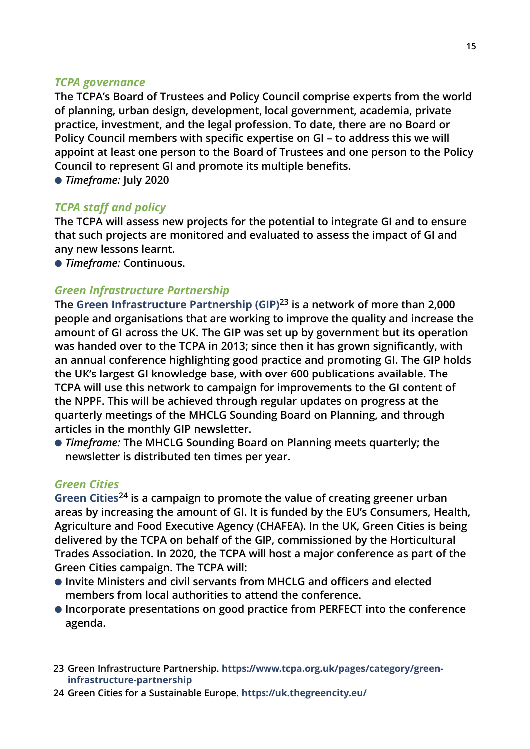#### *TCPA governance*

**The TCPA's Board of Trustees and Policy Council comprise experts from the world of planning, urban design, development, local government, academia, private practice, investment, and the legal profession. To date, there are no Board or Policy Council members with specific expertise on GI – to address this we will appoint at least one person to the Board of Trustees and one person to the Policy Council to represent GI and promote its multiple benefits.**

● *Timeframe:* **July 2020** 

#### *TCPA staff and policy*

**The TCPA will assess new projects for the potential to integrate GI and to ensure that such projects are monitored and evaluated to assess the impact of GI and any new lessons learnt.**

● *Timeframe:* **Continuous.**

#### *Green Infrastructure Partnership*

**The [Green Infrastructure Partnership \(GIP\)](https://www.tcpa.org.uk/pages/category/greeninfrastructure-partnership)<sup>23</sup> is a network of more than 2,000 people and organisations that are working to improve the quality and increase the amount of GI across the UK. The GIP was set up by government but its operation was handed over to the TCPA in 2013; since then it has grown significantly, with an annual conference highlighting good practice and promoting GI. The GIP holds the UK's largest GI knowledge base, with over 600 publications available. The TCPA will use this network to campaign for improvements to the GI content of the NPPF. This will be achieved through regular updates on progress at the quarterly meetings of the MHCLG Sounding Board on Planning, and through articles in the monthly GIP newsletter.**

● *Timeframe:* **The MHCLG Sounding Board on Planning meets quarterly; the newsletter is distributed ten times per year.** 

#### *Green Cities*

**[Green Cities](https://uk.thegreencity.eu/)<sup>24</sup> is a campaign to promote the value of creating greener urban areas by increasing the amount of GI. It is funded by the EU's Consumers, Health, Agriculture and Food Executive Agency (CHAFEA). In the UK, Green Cities is being delivered by the TCPA on behalf of the GIP, commissioned by the Horticultural Trades Association. In 2020, the TCPA will host a major conference as part of the Green Cities campaign. The TCPA will:**

- **Invite Ministers and civil servants from MHCLG and officers and elected members from local authorities to attend the conference.**
- **Incorporate presentations on good practice from PERFECT into the conference agenda.**
- **23 Green Infrastructure Partnership. https://www.tcpa.org.uk/pages/category/greeninfrastructure-partnership**
- **24 Green Cities for a Sustainable Europe. https://uk.thegreencity.eu/**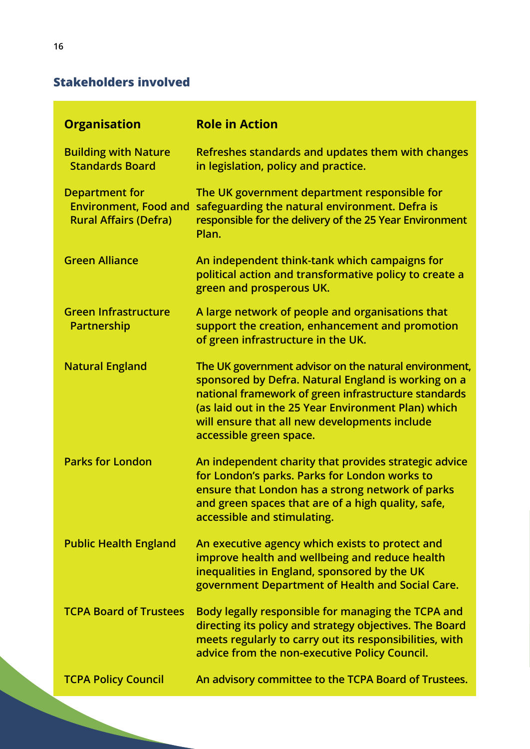#### **Stakeholders involved**

| <b>Organisation</b>                                                                   | <b>Role in Action</b>                                                                                                                                                                                                                                                                                   |
|---------------------------------------------------------------------------------------|---------------------------------------------------------------------------------------------------------------------------------------------------------------------------------------------------------------------------------------------------------------------------------------------------------|
| <b>Building with Nature</b><br><b>Standards Board</b>                                 | Refreshes standards and updates them with changes<br>in legislation, policy and practice.                                                                                                                                                                                                               |
| <b>Department for</b><br><b>Environment, Food and</b><br><b>Rural Affairs (Defra)</b> | The UK government department responsible for<br>safeguarding the natural environment. Defra is<br>responsible for the delivery of the 25 Year Environment<br>Plan.                                                                                                                                      |
| <b>Green Alliance</b>                                                                 | An independent think-tank which campaigns for<br>political action and transformative policy to create a<br>green and prosperous UK.                                                                                                                                                                     |
| <b>Green Infrastructure</b><br>Partnership                                            | A large network of people and organisations that<br>support the creation, enhancement and promotion<br>of green infrastructure in the UK.                                                                                                                                                               |
| <b>Natural England</b>                                                                | The UK government advisor on the natural environment,<br>sponsored by Defra. Natural England is working on a<br>national framework of green infrastructure standards<br>(as laid out in the 25 Year Environment Plan) which<br>will ensure that all new developments include<br>accessible green space. |
| <b>Parks for London</b>                                                               | An independent charity that provides strategic advice<br>for London's parks. Parks for London works to<br>ensure that London has a strong network of parks<br>and green spaces that are of a high quality, safe,<br>accessible and stimulating.                                                         |
| <b>Public Health England</b>                                                          | An executive agency which exists to protect and<br>improve health and wellbeing and reduce health<br>inequalities in England, sponsored by the UK<br>government Department of Health and Social Care.                                                                                                   |
| <b>TCPA Board of Trustees</b>                                                         | Body legally responsible for managing the TCPA and<br>directing its policy and strategy objectives. The Board<br>meets regularly to carry out its responsibilities, with<br>advice from the non-executive Policy Council.                                                                               |
| <b>TCPA Policy Council</b>                                                            | An advisory committee to the TCPA Board of Trustees.                                                                                                                                                                                                                                                    |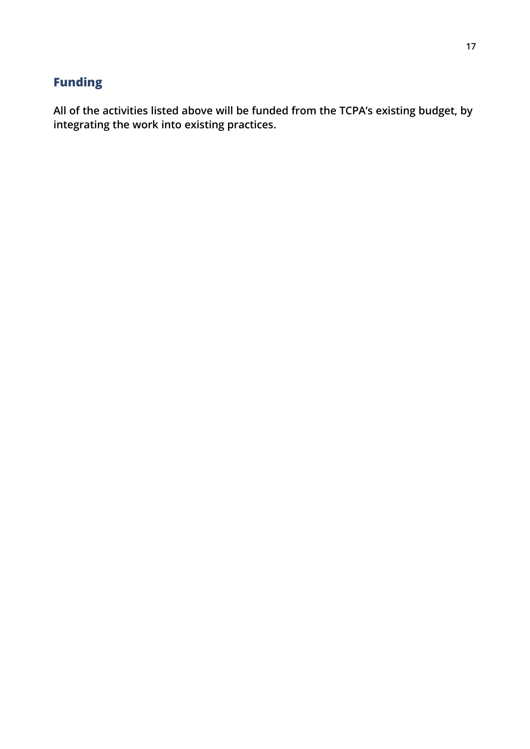#### **Funding**

**All of the activities listed above will be funded from the TCPA's existing budget, by integrating the work into existing practices.**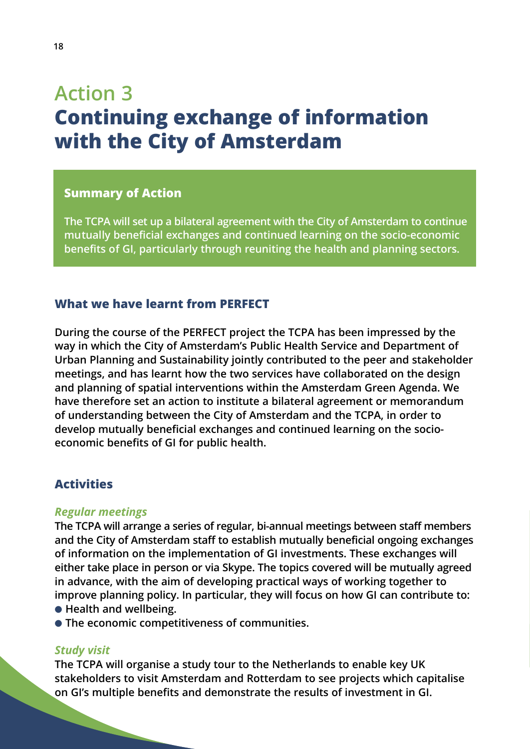## **Action 3 Continuing exchange of information with the City of Amsterdam**

#### **Summary of Action**

**The TCPA will set up a bilateral agreement with the City of Amsterdam to continue mutually beneficial exchanges and continued learning on the socio-economic benefits of GI, particularly through reuniting the health and planning sectors.**

#### **What we have learnt from PERFECT**

**During the course of the PERFECT project the TCPA has been impressed by the way in which the City of Amsterdam's Public Health Service and Department of Urban Planning and Sustainability jointly contributed to the peer and stakeholder meetings, and has learnt how the two services have collaborated on the design and planning of spatial interventions within the Amsterdam Green Agenda. We have therefore set an action to institute a bilateral agreement or memorandum of understanding between the City of Amsterdam and the TCPA, in order to develop mutually beneficial exchanges and continued learning on the socioeconomic benefits of GI for public health.**

#### **Activities**

#### *Regular meetings*

**The TCPA will arrange a series of regular, bi-annual meetings between staff members and the City of Amsterdam staff to establish mutually beneficial ongoing exchanges of information on the implementation of GI investments. These exchanges will either take place in person or via Skype. The topics covered will be mutually agreed in advance, with the aim of developing practical ways of working together to improve planning policy. In particular, they will focus on how GI can contribute to:**

- **Health and wellbeing.**
- **The economic competitiveness of communities.**

#### *Study visit*

**The TCPA will organise a study tour to the Netherlands to enable key UK stakeholders to visit Amsterdam and Rotterdam to see projects which capitalise on GI's multiple benefits and demonstrate the results of investment in GI.**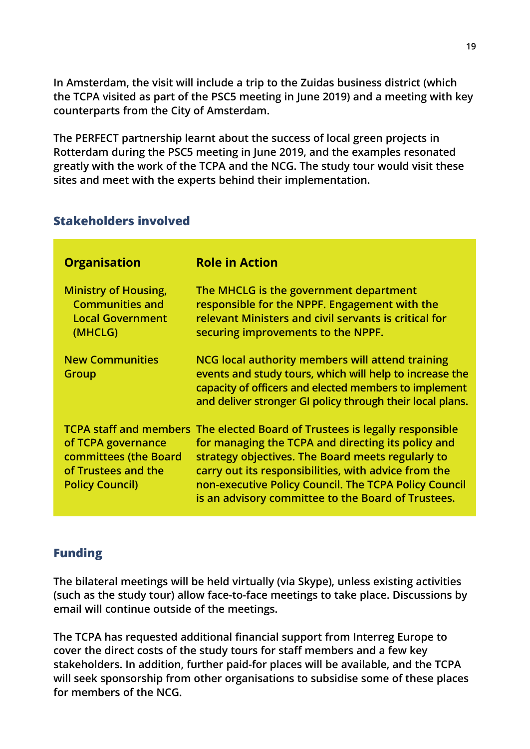**In Amsterdam, the visit will include a trip to the Zuidas business district (which the TCPA visited as part of the PSC5 meeting in June 2019) and a meeting with key counterparts from the City of Amsterdam.**

**The PERFECT partnership learnt about the success of local green projects in Rotterdam during the PSC5 meeting in June 2019, and the examples resonated greatly with the work of the TCPA and the NCG. The study tour would visit these sites and meet with the experts behind their implementation.**

#### **Stakeholders involved**

| <b>Organisation</b>                                                                          | <b>Role in Action</b>                                                                                                                                                                                                                                                                                                                                         |
|----------------------------------------------------------------------------------------------|---------------------------------------------------------------------------------------------------------------------------------------------------------------------------------------------------------------------------------------------------------------------------------------------------------------------------------------------------------------|
| <b>Ministry of Housing,</b><br><b>Communities and</b><br><b>Local Government</b><br>(MHCLG)  | The MHCLG is the government department<br>responsible for the NPPF. Engagement with the<br>relevant Ministers and civil servants is critical for<br>securing improvements to the NPPF.                                                                                                                                                                        |
| <b>New Communities</b><br>Group                                                              | NCG local authority members will attend training<br>events and study tours, which will help to increase the<br>capacity of officers and elected members to implement<br>and deliver stronger GI policy through their local plans.                                                                                                                             |
| of TCPA governance<br>committees (the Board<br>of Trustees and the<br><b>Policy Council)</b> | TCPA staff and members The elected Board of Trustees is legally responsible<br>for managing the TCPA and directing its policy and<br>strategy objectives. The Board meets regularly to<br>carry out its responsibilities, with advice from the<br>non-executive Policy Council. The TCPA Policy Council<br>is an advisory committee to the Board of Trustees. |

#### **Funding**

**The bilateral meetings will be held virtually (via Skype), unless existing activities (such as the study tour) allow face-to-face meetings to take place. Discussions by email will continue outside of the meetings.**

**The TCPA has requested additional financial support from Interreg Europe to cover the direct costs of the study tours for staff members and a few key stakeholders. In addition, further paid-for places will be available, and the TCPA will seek sponsorship from other organisations to subsidise some of these places for members of the NCG.**